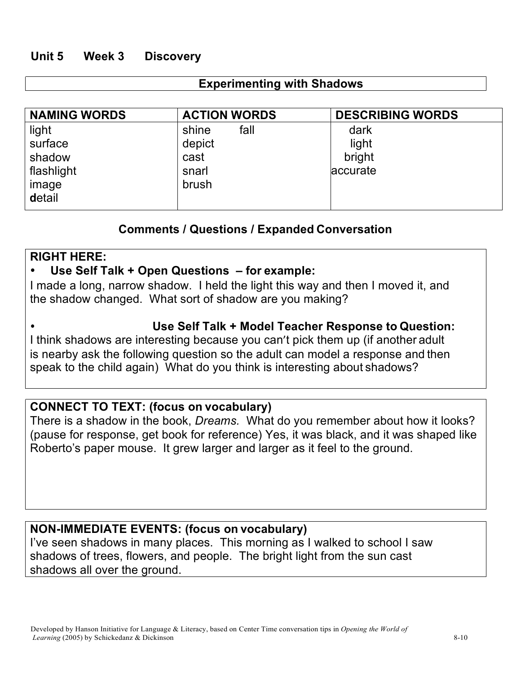## **Unit 5 Week 3 Discovery**

#### **Experimenting with Shadows**

| <b>NAMING WORDS</b> | <b>ACTION WORDS</b> | <b>DESCRIBING WORDS</b> |
|---------------------|---------------------|-------------------------|
| light               | fall<br>shine       | dark                    |
| surface             | depict              | light                   |
| shadow              | cast                | bright                  |
| flashlight          | snarl               | accurate                |
| image               | brush               |                         |
| detail              |                     |                         |

## **Comments / Questions / Expanded Conversation**

#### **RIGHT HERE:**

#### • **Use Self Talk + Open Questions – for example:**

I made a long, narrow shadow. I held the light this way and then I moved it, and the shadow changed. What sort of shadow are you making?

#### **Use Self Talk + Model Teacher Response to Question:**

I think shadows are interesting because you can't pick them up (if another adult is nearby ask the following question so the adult can model a response and then speak to the child again) What do you think is interesting about shadows?

## **CONNECT TO TEXT: (focus on vocabulary)**

There is a shadow in the book, *Dreams.* What do you remember about how it looks? (pause for response, get book for reference) Yes, it was black, and it was shaped like Roberto's paper mouse. It grew larger and larger as it feel to the ground.

#### **NON-IMMEDIATE EVENTS: (focus on vocabulary)**

I've seen shadows in many places. This morning as I walked to school I saw shadows of trees, flowers, and people. The bright light from the sun cast shadows all over the ground.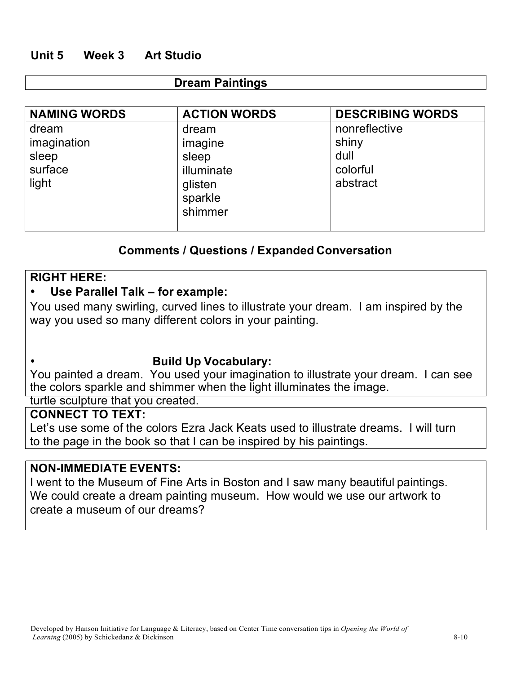## **Unit 5 Week 3 Art Studio**

#### **Dream Paintings**

| <b>NAMING WORDS</b>                               | <b>ACTION WORDS</b>                                                      | <b>DESCRIBING WORDS</b>                                |
|---------------------------------------------------|--------------------------------------------------------------------------|--------------------------------------------------------|
| dream<br>imagination<br>sleep<br>surface<br>light | dream<br>imagine<br>sleep<br>illuminate<br>glisten<br>sparkle<br>shimmer | nonreflective<br>shiny<br>dull<br>colorful<br>abstract |

## **Comments / Questions / Expanded Conversation**

#### **RIGHT HERE:**

#### • **Use Parallel Talk – for example:**

You used many swirling, curved lines to illustrate your dream. I am inspired by the way you used so many different colors in your painting.

#### **Build Up Vocabulary:**

You painted a dream. You used your imagination to illustrate your dream. I can see the colors sparkle and shimmer when the light illuminates the image.

turtle sculpture that you created.

## **CONNECT TO TEXT:**

Let's use some of the colors Ezra Jack Keats used to illustrate dreams. I will turn to the page in the book so that I can be inspired by his paintings.

#### **NON-IMMEDIATE EVENTS:**

I went to the Museum of Fine Arts in Boston and I saw many beautiful paintings. We could create a dream painting museum. How would we use our artwork to create a museum of our dreams?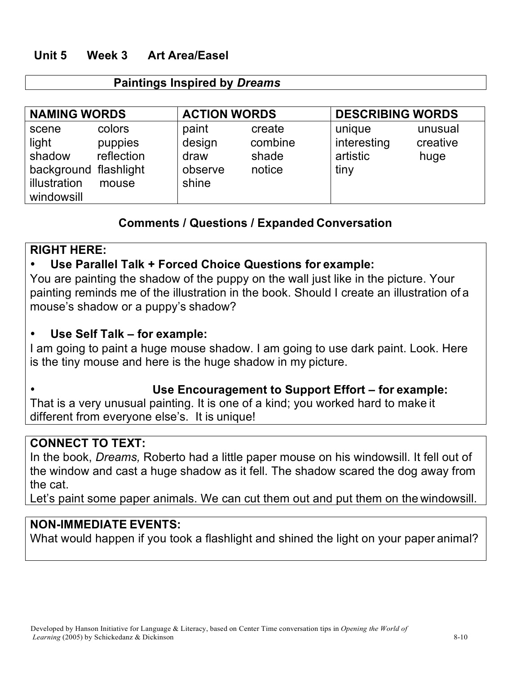## **Unit 5 Week 3 Art Area/Easel**

#### **Paintings Inspired by** *Dreams*

| <b>NAMING WORDS</b>                                                             |                                          | <b>ACTION WORDS</b>                         |                                      | <b>DESCRIBING WORDS</b>                   |                             |
|---------------------------------------------------------------------------------|------------------------------------------|---------------------------------------------|--------------------------------------|-------------------------------------------|-----------------------------|
| scene<br>light<br>shadow<br>background flashlight<br>illustration<br>windowsill | colors<br>puppies<br>reflection<br>mouse | paint<br>design<br>draw<br>observe<br>shine | create<br>combine<br>shade<br>notice | unique<br>interesting<br>artistic<br>tiny | unusual<br>creative<br>huge |

## **Comments / Questions / Expanded Conversation**

## **RIGHT HERE:**

# • **Use Parallel Talk + Forced Choice Questions for example:**

You are painting the shadow of the puppy on the wall just like in the picture. Your painting reminds me of the illustration in the book. Should I create an illustration of a mouse's shadow or a puppy's shadow?

## • **Use Self Talk – for example:**

I am going to paint a huge mouse shadow. I am going to use dark paint. Look. Here is the tiny mouse and here is the huge shadow in my picture.

## **Use Encouragement to Support Effort – for example:**

That is a very unusual painting. It is one of a kind; you worked hard to make it different from everyone else's. It is unique!

# **CONNECT TO TEXT:**

In the book, *Dreams,* Roberto had a little paper mouse on his windowsill. It fell out of the window and cast a huge shadow as it fell. The shadow scared the dog away from the cat.

Let's paint some paper animals. We can cut them out and put them on the windowsill.

## **NON-IMMEDIATE EVENTS:**

What would happen if you took a flashlight and shined the light on your paper animal?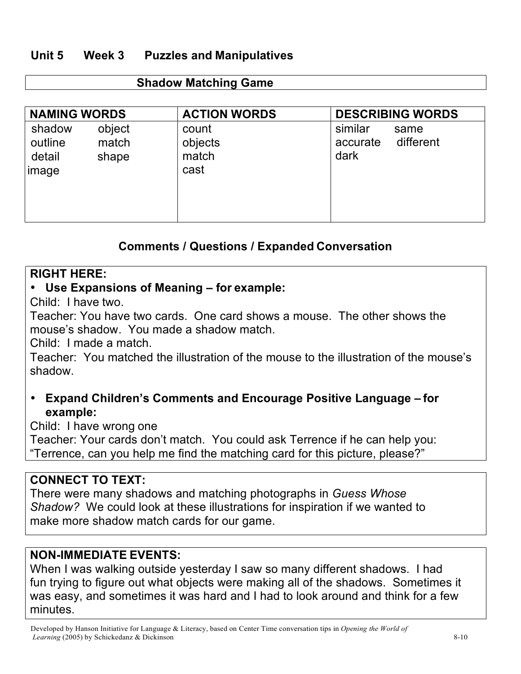# **Unit 5 Week 3 Puzzles and Manipulatives**

| <b>NAMING WORDS</b>                   |                          | <b>ACTION WORDS</b>               | <b>DESCRIBING WORDS</b>                          |
|---------------------------------------|--------------------------|-----------------------------------|--------------------------------------------------|
| shadow<br>outline<br>detail<br> image | object<br>match<br>shape | count<br>objects<br>match<br>cast | similar<br>same<br>different<br>accurate<br>dark |

## **Comments / Questions / Expanded Conversation**

#### **RIGHT HERE:**

## • **Use Expansions of Meaning – for example:**

Child: I have two.

Teacher: You have two cards. One card shows a mouse. The other shows the mouse's shadow. You made a shadow match.

Child: I made a match.

Teacher: You matched the illustration of the mouse to the illustration of the mouse's shadow.

# • **Expand Children's Comments and Encourage Positive Language – for example:**

Child: I have wrong one

Teacher: Your cards don't match. You could ask Terrence if he can help you: "Terrence, can you help me find the matching card for this picture, please?"

## **CONNECT TO TEXT:**

There were many shadows and matching photographs in *Guess Whose Shadow?* We could look at these illustrations for inspiration if we wanted to make more shadow match cards for our game.

## **NON-IMMEDIATE EVENTS:**

When I was walking outside yesterday I saw so many different shadows. I had fun trying to figure out what objects were making all of the shadows. Sometimes it was easy, and sometimes it was hard and I had to look around and think for a few minutes.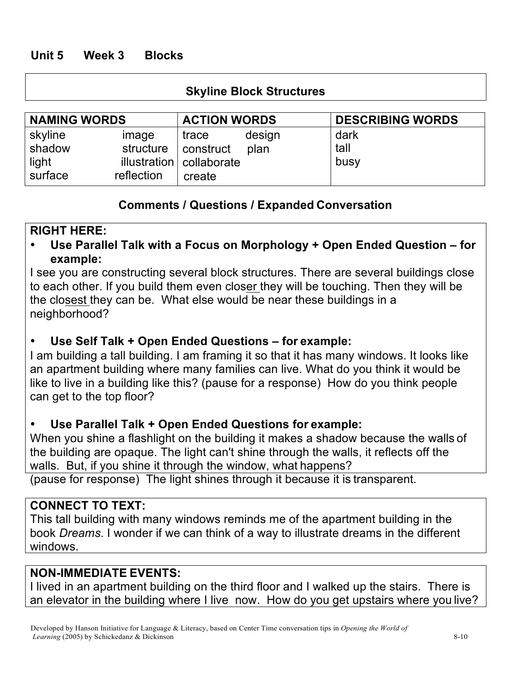# **Unit 5 Week 3 Blocks**

## **Skyline Block Structures**

| <b>NAMING WORDS</b>                   |                                  | <b>ACTION WORDS</b>                                          |                | <b>DESCRIBING WORDS</b> |
|---------------------------------------|----------------------------------|--------------------------------------------------------------|----------------|-------------------------|
| skyline<br>shadow<br>light<br>surface | image<br>structure<br>reflection | trace<br>  construct<br>illustration   collaborate<br>create | design<br>plan | dark<br>tall<br>busy    |

## **Comments / Questions / Expanded Conversation**

## **RIGHT HERE:**

• **Use Parallel Talk with a Focus on Morphology + Open Ended Question – for example:**

I see you are constructing several block structures. There are several buildings close to each other. If you build them even closer they will be touching. Then they will be the closest they can be. What else would be near these buildings in a neighborhood?

# • **Use Self Talk + Open Ended Questions – for example:**

I am building a tall building. I am framing it so that it has many windows. It looks like an apartment building where many families can live. What do you think it would be like to live in a building like this? (pause for a response) How do you think people can get to the top floor?

## • **Use Parallel Talk + Open Ended Questions for example:**

When you shine a flashlight on the building it makes a shadow because the walls of the building are opaque. The light can't shine through the walls, it reflects off the walls. But, if you shine it through the window, what happens?

(pause for response) The light shines through it because it is transparent.

## **CONNECT TO TEXT:**

This tall building with many windows reminds me of the apartment building in the book *Dreams*. I wonder if we can think of a way to illustrate dreams in the different windows.

## **NON-IMMEDIATE EVENTS:**

I lived in an apartment building on the third floor and I walked up the stairs. There is an elevator in the building where I live now. How do you get upstairs where you live?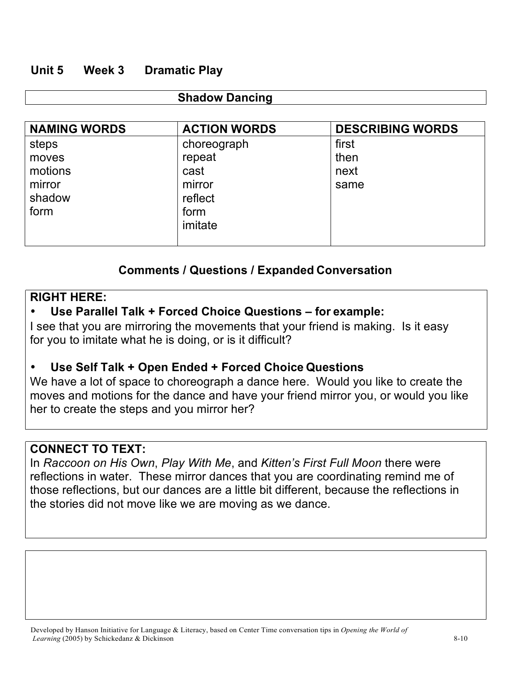## **Unit 5 Week 3 Dramatic Play**

#### **Shadow Dancing**

| <b>NAMING WORDS</b> | <b>ACTION WORDS</b> | <b>DESCRIBING WORDS</b> |
|---------------------|---------------------|-------------------------|
| steps               | choreograph         | first                   |
| moves               | repeat              | then                    |
| motions             | cast                | next                    |
| mirror              | mirror              | same                    |
| shadow              | reflect             |                         |
| form                | form                |                         |
|                     | imitate             |                         |
|                     |                     |                         |

# **Comments / Questions / Expanded Conversation**

#### **RIGHT HERE:**

# • **Use Parallel Talk + Forced Choice Questions – for example:**

I see that you are mirroring the movements that your friend is making. Is it easy for you to imitate what he is doing, or is it difficult?

## • **Use Self Talk + Open Ended + Forced Choice Questions**

We have a lot of space to choreograph a dance here. Would you like to create the moves and motions for the dance and have your friend mirror you, or would you like her to create the steps and you mirror her?

# **CONNECT TO TEXT:**

In *Raccoon on His Own*, *Play With Me*, and *Kitten's First Full Moon* there were reflections in water. These mirror dances that you are coordinating remind me of those reflections, but our dances are a little bit different, because the reflections in the stories did not move like we are moving as we dance.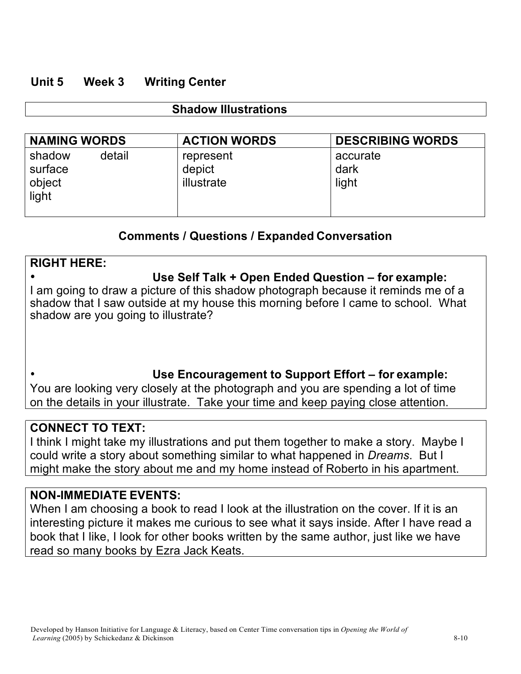#### **Unit 5 Week 3 Writing Center**

#### **Shadow Illustrations**

| <b>NAMING WORDS</b>                            | <b>ACTION WORDS</b>               | <b>DESCRIBING WORDS</b>   |
|------------------------------------------------|-----------------------------------|---------------------------|
| detail<br>shadow<br>surface<br>object<br>light | represent<br>depict<br>illustrate | accurate<br>dark<br>light |

## **Comments / Questions / Expanded Conversation**

# **RIGHT HERE:** • **Use Self Talk + Open Ended Question – for example:** I am going to draw a picture of this shadow photograph because it reminds me of a shadow that I saw outside at my house this morning before I came to school. What shadow are you going to illustrate?

# **Use Encouragement to Support Effort – for example:**

You are looking very closely at the photograph and you are spending a lot of time on the details in your illustrate. Take your time and keep paying close attention.

## **CONNECT TO TEXT:**

 $\bullet$ 

I think I might take my illustrations and put them together to make a story. Maybe I could write a story about something similar to what happened in *Dreams*. But I might make the story about me and my home instead of Roberto in his apartment.

## **NON-IMMEDIATE EVENTS:**

When I am choosing a book to read I look at the illustration on the cover. If it is an interesting picture it makes me curious to see what it says inside. After I have read a book that I like, I look for other books written by the same author, just like we have read so many books by Ezra Jack Keats.